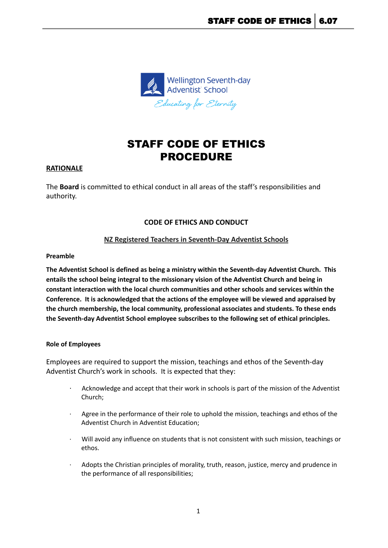

# STAFF CODE OF ETHICS PROCEDURE

#### **RATIONALE**

The **Board** is committed to ethical conduct in all areas of the staff's responsibilities and authority.

## **CODE OF ETHICS AND CONDUCT**

## **NZ Registered Teachers in Seventh-Day Adventist Schools**

#### **Preamble**

**The Adventist School is defined as being a ministry within the Seventh-day Adventist Church. This entails the school being integral to the missionary vision of the Adventist Church and being in constant interaction with the local church communities and other schools and services within the Conference. It is acknowledged that the actions of the employee will be viewed and appraised by the church membership, the local community, professional associates and students. To these ends the Seventh-day Adventist School employee subscribes to the following set of ethical principles.**

#### **Role of Employees**

Employees are required to support the mission, teachings and ethos of the Seventh-day Adventist Church's work in schools. It is expected that they:

- · Acknowledge and accept that their work in schools is part of the mission of the Adventist Church;
- · Agree in the performance of their role to uphold the mission, teachings and ethos of the Adventist Church in Adventist Education;
- Will avoid any influence on students that is not consistent with such mission, teachings or ethos.
- Adopts the Christian principles of morality, truth, reason, justice, mercy and prudence in the performance of all responsibilities;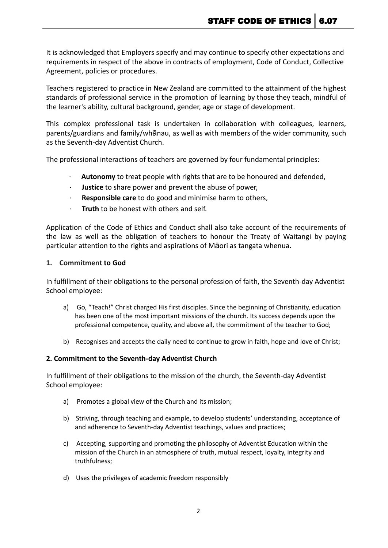It is acknowledged that Employers specify and may continue to specify other expectations and requirements in respect of the above in contracts of employment, Code of Conduct, Collective Agreement, policies or procedures.

Teachers registered to practice in New Zealand are committed to the attainment of the highest standards of professional service in the promotion of learning by those they teach, mindful of the learner's ability, cultural background, gender, age or stage of development.

This complex professional task is undertaken in collaboration with colleagues, learners, parents/guardians and family/whānau, as well as with members of the wider community, such as the Seventh-day Adventist Church.

The professional interactions of teachers are governed by four fundamental principles:

- Autonomy to treat people with rights that are to be honoured and defended,
- · **Justice** to share power and prevent the abuse of power,
- · **Responsible care** to do good and minimise harm to others,
- · **Truth** to be honest with others and self.

Application of the Code of Ethics and Conduct shall also take account of the requirements of the law as well as the obligation of teachers to honour the Treaty of Waitangi by paying particular attention to the rights and aspirations of Māori as tangata whenua.

#### **1. Commitment to God**

In fulfillment of their obligations to the personal profession of faith, the Seventh-day Adventist School employee:

- a) Go, "Teach!" Christ charged His first disciples. Since the beginning of Christianity, education has been one of the most important missions of the church. Its success depends upon the professional competence, quality, and above all, the commitment of the teacher to God;
- b) Recognises and accepts the daily need to continue to grow in faith, hope and love of Christ;

#### **2. Commitment to the Seventh-day Adventist Church**

In fulfillment of their obligations to the mission of the church, the Seventh-day Adventist School employee:

- a) Promotes a global view of the Church and its mission;
- b) Striving, through teaching and example, to develop students' understanding, acceptance of and adherence to Seventh-day Adventist teachings, values and practices;
- c) Accepting, supporting and promoting the philosophy of Adventist Education within the mission of the Church in an atmosphere of truth, mutual respect, loyalty, integrity and truthfulness;
- d) Uses the privileges of academic freedom responsibly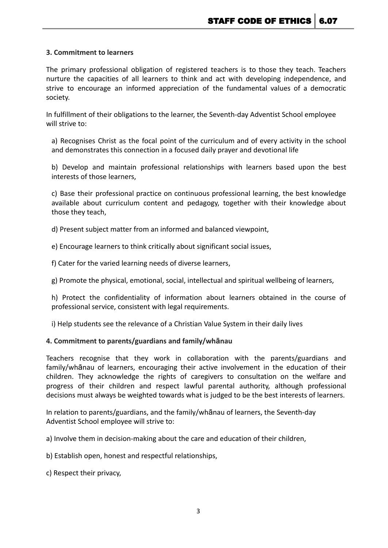## **3. Commitment to learners**

The primary professional obligation of registered teachers is to those they teach. Teachers nurture the capacities of all learners to think and act with developing independence, and strive to encourage an informed appreciation of the fundamental values of a democratic society.

In fulfillment of their obligations to the learner, the Seventh-day Adventist School employee will strive to:

a) Recognises Christ as the focal point of the curriculum and of every activity in the school and demonstrates this connection in a focused daily prayer and devotional life

b) Develop and maintain professional relationships with learners based upon the best interests of those learners,

c) Base their professional practice on continuous professional learning, the best knowledge available about curriculum content and pedagogy, together with their knowledge about those they teach,

d) Present subject matter from an informed and balanced viewpoint,

e) Encourage learners to think critically about significant social issues,

f) Cater for the varied learning needs of diverse learners,

g) Promote the physical, emotional, social, intellectual and spiritual wellbeing of learners,

h) Protect the confidentiality of information about learners obtained in the course of professional service, consistent with legal requirements.

i) Help students see the relevance of a Christian Value System in their daily lives

#### **4. Commitment to parents/guardians and family/whānau**

Teachers recognise that they work in collaboration with the parents/guardians and family/whānau of learners, encouraging their active involvement in the education of their children. They acknowledge the rights of caregivers to consultation on the welfare and progress of their children and respect lawful parental authority, although professional decisions must always be weighted towards what is judged to be the best interests of learners.

In relation to parents/guardians, and the family/whānau of learners, the Seventh-day Adventist School employee will strive to:

a) Involve them in decision-making about the care and education of their children,

b) Establish open, honest and respectful relationships,

c) Respect their privacy,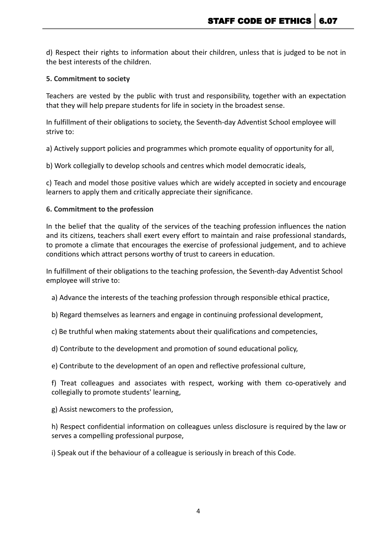d) Respect their rights to information about their children, unless that is judged to be not in the best interests of the children.

### **5. Commitment to society**

Teachers are vested by the public with trust and responsibility, together with an expectation that they will help prepare students for life in society in the broadest sense.

In fulfillment of their obligations to society, the Seventh-day Adventist School employee will strive to:

a) Actively support policies and programmes which promote equality of opportunity for all,

b) Work collegially to develop schools and centres which model democratic ideals,

c) Teach and model those positive values which are widely accepted in society and encourage learners to apply them and critically appreciate their significance.

#### **6. Commitment to the profession**

In the belief that the quality of the services of the teaching profession influences the nation and its citizens, teachers shall exert every effort to maintain and raise professional standards, to promote a climate that encourages the exercise of professional judgement, and to achieve conditions which attract persons worthy of trust to careers in education.

In fulfillment of their obligations to the teaching profession, the Seventh-day Adventist School employee will strive to:

a) Advance the interests of the teaching profession through responsible ethical practice,

- b) Regard themselves as learners and engage in continuing professional development,
- c) Be truthful when making statements about their qualifications and competencies,
- d) Contribute to the development and promotion of sound educational policy,

e) Contribute to the development of an open and reflective professional culture,

f) Treat colleagues and associates with respect, working with them co-operatively and collegially to promote students' learning,

g) Assist newcomers to the profession,

h) Respect confidential information on colleagues unless disclosure is required by the law or serves a compelling professional purpose,

i) Speak out if the behaviour of a colleague is seriously in breach of this Code.